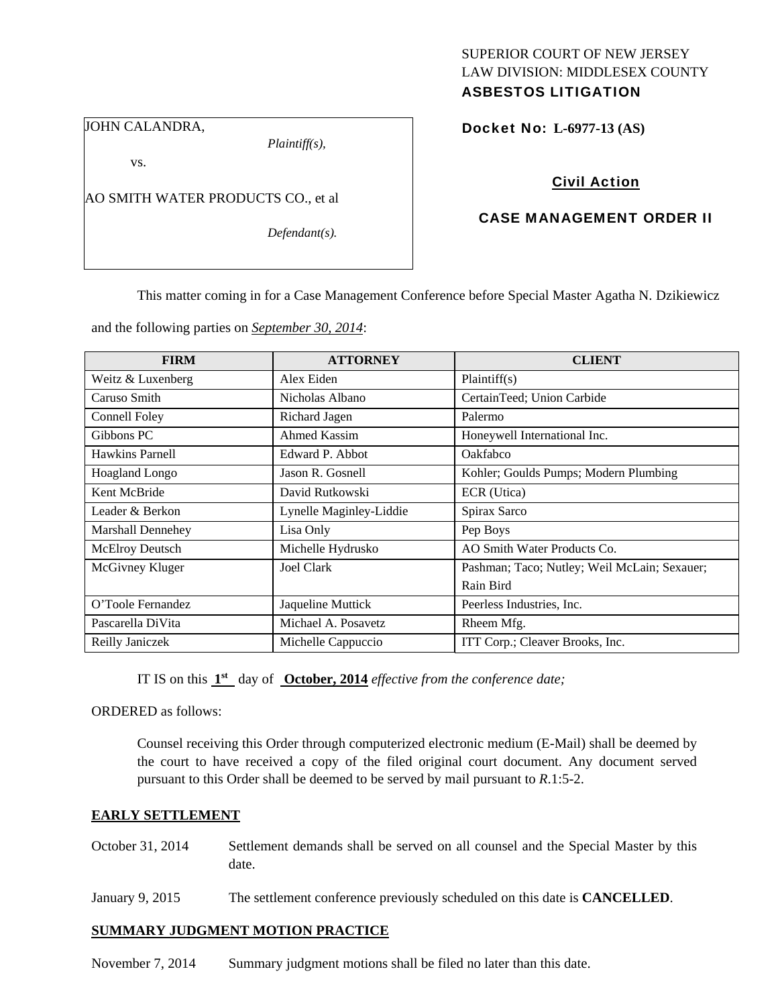# SUPERIOR COURT OF NEW JERSEY LAW DIVISION: MIDDLESEX COUNTY

# ASBESTOS LITIGATION

JOHN CALANDRA,

*Plaintiff(s),* 

Docket No: **L-6977-13 (AS)** 

vs.

AO SMITH WATER PRODUCTS CO., et al

*Defendant(s).* 

Civil Action

### CASE MANAGEMENT ORDER II

This matter coming in for a Case Management Conference before Special Master Agatha N. Dzikiewicz

and the following parties on *September 30, 2014*:

| <b>FIRM</b>       | <b>ATTORNEY</b>         | <b>CLIENT</b>                                |
|-------------------|-------------------------|----------------------------------------------|
| Weitz & Luxenberg | Alex Eiden              | Plaintiff(s)                                 |
| Caruso Smith      | Nicholas Albano         | CertainTeed; Union Carbide                   |
| Connell Foley     | Richard Jagen           | Palermo                                      |
| Gibbons PC        | <b>Ahmed Kassim</b>     | Honeywell International Inc.                 |
| Hawkins Parnell   | Edward P. Abbot         | Oakfabco                                     |
| Hoagland Longo    | Jason R. Gosnell        | Kohler; Goulds Pumps; Modern Plumbing        |
| Kent McBride      | David Rutkowski         | ECR (Utica)                                  |
| Leader & Berkon   | Lynelle Maginley-Liddie | Spirax Sarco                                 |
| Marshall Dennehey | Lisa Only               | Pep Boys                                     |
| McElroy Deutsch   | Michelle Hydrusko       | AO Smith Water Products Co.                  |
| McGivney Kluger   | Joel Clark              | Pashman; Taco; Nutley; Weil McLain; Sexauer; |
|                   |                         | Rain Bird                                    |
| O'Toole Fernandez | Jaqueline Muttick       | Peerless Industries, Inc.                    |
| Pascarella DiVita | Michael A. Posavetz     | Rheem Mfg.                                   |
| Reilly Janiczek   | Michelle Cappuccio      | ITT Corp.; Cleaver Brooks, Inc.              |

IT IS on this **1st** day of **October, 2014** *effective from the conference date;*

ORDERED as follows:

Counsel receiving this Order through computerized electronic medium (E-Mail) shall be deemed by the court to have received a copy of the filed original court document. Any document served pursuant to this Order shall be deemed to be served by mail pursuant to *R*.1:5-2.

## **EARLY SETTLEMENT**

- October 31, 2014 Settlement demands shall be served on all counsel and the Special Master by this date.
- January 9, 2015 The settlement conference previously scheduled on this date is **CANCELLED**.

#### **SUMMARY JUDGMENT MOTION PRACTICE**

November 7, 2014 Summary judgment motions shall be filed no later than this date.